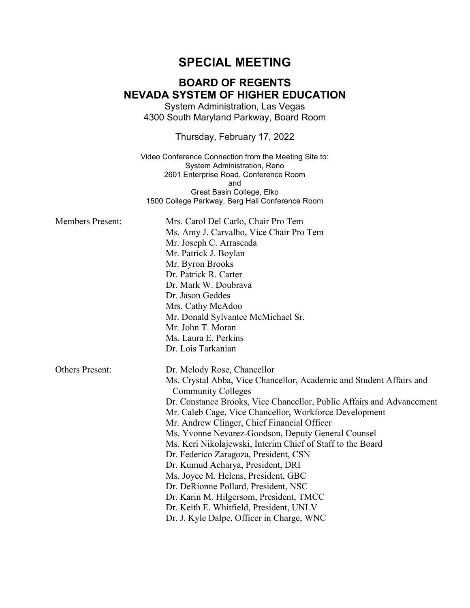# **SPECIAL MEETING**

# **BOARD OF REGENTS NEVADA SYSTEM OF HIGHER EDUCATION**

System Administration, Las Vegas 4300 South Maryland Parkway, Board Room

Thursday, February 17, 2022

Video Conference Connection from the Meeting Site to: System Administration, Reno 2601 Enterprise Road, Conference Room and Great Basin College, Elko 1500 College Parkway, Berg Hall Conference Room

| <b>Members Present:</b> | Mrs. Carol Del Carlo, Chair Pro Tem<br>Ms. Amy J. Carvalho, Vice Chair Pro Tem<br>Mr. Joseph C. Arrascada<br>Mr. Patrick J. Boylan<br>Mr. Byron Brooks<br>Dr. Patrick R. Carter<br>Dr. Mark W. Doubrava<br>Dr. Jason Geddes<br>Mrs. Cathy McAdoo<br>Mr. Donald Sylvantee McMichael Sr.<br>Mr. John T. Moran<br>Ms. Laura E. Perkins<br>Dr. Lois Tarkanian                                                                                                                                                                                                                                                                                                                                                                             |
|-------------------------|---------------------------------------------------------------------------------------------------------------------------------------------------------------------------------------------------------------------------------------------------------------------------------------------------------------------------------------------------------------------------------------------------------------------------------------------------------------------------------------------------------------------------------------------------------------------------------------------------------------------------------------------------------------------------------------------------------------------------------------|
| <b>Others Present:</b>  | Dr. Melody Rose, Chancellor<br>Ms. Crystal Abba, Vice Chancellor, Academic and Student Affairs and<br><b>Community Colleges</b><br>Dr. Constance Brooks, Vice Chancellor, Public Affairs and Advancement<br>Mr. Caleb Cage, Vice Chancellor, Workforce Development<br>Mr. Andrew Clinger, Chief Financial Officer<br>Ms. Yvonne Nevarez-Goodson, Deputy General Counsel<br>Ms. Keri Nikolajewski, Interim Chief of Staff to the Board<br>Dr. Federico Zaragoza, President, CSN<br>Dr. Kumud Acharya, President, DRI<br>Ms. Joyce M. Helens, President, GBC<br>Dr. DeRionne Pollard, President, NSC<br>Dr. Karin M. Hilgersom, President, TMCC<br>Dr. Keith E. Whitfield, President, UNLV<br>Dr. J. Kyle Dalpe, Officer in Charge, WNC |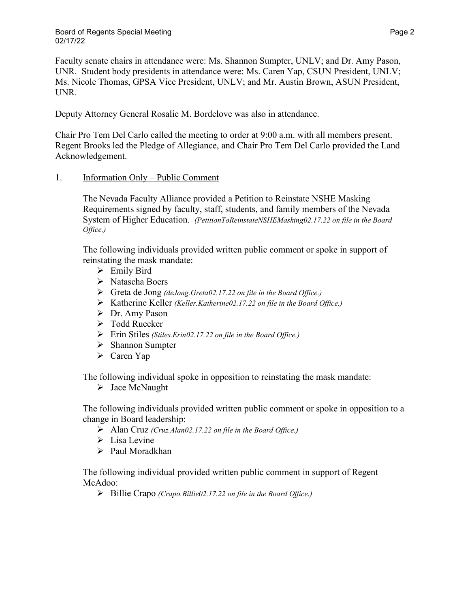Faculty senate chairs in attendance were: Ms. Shannon Sumpter, UNLV; and Dr. Amy Pason, UNR. Student body presidents in attendance were: Ms. Caren Yap, CSUN President, UNLV; Ms. Nicole Thomas, GPSA Vice President, UNLV; and Mr. Austin Brown, ASUN President, UNR.

Deputy Attorney General Rosalie M. Bordelove was also in attendance.

Chair Pro Tem Del Carlo called the meeting to order at 9:00 a.m. with all members present. Regent Brooks led the Pledge of Allegiance, and Chair Pro Tem Del Carlo provided the Land Acknowledgement.

## 1. Information Only – Public Comment

The Nevada Faculty Alliance provided a Petition to Reinstate NSHE Masking Requirements signed by faculty, staff, students, and family members of the Nevada System of Higher Education. *(PetitionToReinstateNSHEMasking02.17.22 on file in the Board Office.)*

The following individuals provided written public comment or spoke in support of reinstating the mask mandate:

- $\triangleright$  Emily Bird
- Natascha Boers
- Greta de Jong *(deJong.Greta02.17.22 on file in the Board Office.)*
- Katherine Keller *(Keller.Katherine02.17.22 on file in the Board Office.)*
- Dr. Amy Pason
- Todd Ruecker
- Erin Stiles *(Stiles.Erin02.17.22 on file in the Board Office.)*
- $\triangleright$  Shannon Sumpter
- Caren Yap

The following individual spoke in opposition to reinstating the mask mandate:

 $\triangleright$  Jace McNaught

The following individuals provided written public comment or spoke in opposition to a change in Board leadership:

- Alan Cruz *(Cruz.Alan02.17.22 on file in the Board Office.)*
- $\triangleright$  Lisa Levine
- Paul Moradkhan

The following individual provided written public comment in support of Regent McAdoo:

Billie Crapo *(Crapo.Billie02.17.22 on file in the Board Office.)*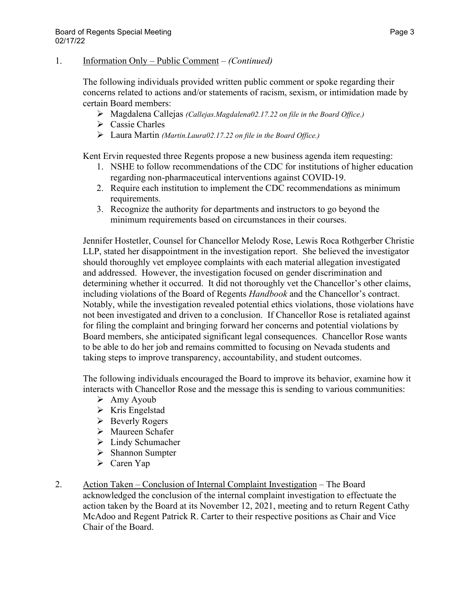## 1. Information Only – Public Comment – *(Continued)*

The following individuals provided written public comment or spoke regarding their concerns related to actions and/or statements of racism, sexism, or intimidation made by certain Board members:

- Magdalena Callejas *(Callejas.Magdalena02.17.22 on file in the Board Office.)*
- $\triangleright$  Cassie Charles
- Laura Martin *(Martin.Laura02.17.22 on file in the Board Office.)*

Kent Ervin requested three Regents propose a new business agenda item requesting:

- 1. NSHE to follow recommendations of the CDC for institutions of higher education regarding non-pharmaceutical interventions against COVID-19.
- 2. Require each institution to implement the CDC recommendations as minimum requirements.
- 3. Recognize the authority for departments and instructors to go beyond the minimum requirements based on circumstances in their courses.

Jennifer Hostetler, Counsel for Chancellor Melody Rose, Lewis Roca Rothgerber Christie LLP, stated her disappointment in the investigation report. She believed the investigator should thoroughly vet employee complaints with each material allegation investigated and addressed. However, the investigation focused on gender discrimination and determining whether it occurred. It did not thoroughly vet the Chancellor's other claims, including violations of the Board of Regents *Handbook* and the Chancellor's contract. Notably, while the investigation revealed potential ethics violations, those violations have not been investigated and driven to a conclusion. If Chancellor Rose is retaliated against for filing the complaint and bringing forward her concerns and potential violations by Board members, she anticipated significant legal consequences. Chancellor Rose wants to be able to do her job and remains committed to focusing on Nevada students and taking steps to improve transparency, accountability, and student outcomes.

The following individuals encouraged the Board to improve its behavior, examine how it interacts with Chancellor Rose and the message this is sending to various communities:

- $\triangleright$  Amy Ayoub
- $\triangleright$  Kris Engelstad
- $\triangleright$  Beverly Rogers
- Maureen Schafer
- Lindy Schumacher
- $\triangleright$  Shannon Sumpter
- Caren Yap
- 2. Action Taken Conclusion of Internal Complaint Investigation The Board acknowledged the conclusion of the internal complaint investigation to effectuate the action taken by the Board at its November 12, 2021, meeting and to return Regent Cathy McAdoo and Regent Patrick R. Carter to their respective positions as Chair and Vice Chair of the Board.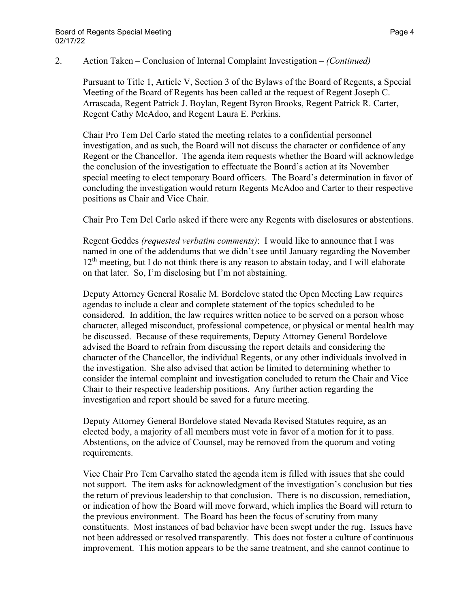Pursuant to Title 1, Article V, Section 3 of the Bylaws of the Board of Regents, a Special Meeting of the Board of Regents has been called at the request of Regent Joseph C. Arrascada, Regent Patrick J. Boylan, Regent Byron Brooks, Regent Patrick R. Carter, Regent Cathy McAdoo, and Regent Laura E. Perkins.

Chair Pro Tem Del Carlo stated the meeting relates to a confidential personnel investigation, and as such, the Board will not discuss the character or confidence of any Regent or the Chancellor. The agenda item requests whether the Board will acknowledge the conclusion of the investigation to effectuate the Board's action at its November special meeting to elect temporary Board officers. The Board's determination in favor of concluding the investigation would return Regents McAdoo and Carter to their respective positions as Chair and Vice Chair.

Chair Pro Tem Del Carlo asked if there were any Regents with disclosures or abstentions.

Regent Geddes *(requested verbatim comments)*: I would like to announce that I was named in one of the addendums that we didn't see until January regarding the November  $12<sup>th</sup>$  meeting, but I do not think there is any reason to abstain today, and I will elaborate on that later. So, I'm disclosing but I'm not abstaining.

Deputy Attorney General Rosalie M. Bordelove stated the Open Meeting Law requires agendas to include a clear and complete statement of the topics scheduled to be considered. In addition, the law requires written notice to be served on a person whose character, alleged misconduct, professional competence, or physical or mental health may be discussed. Because of these requirements, Deputy Attorney General Bordelove advised the Board to refrain from discussing the report details and considering the character of the Chancellor, the individual Regents, or any other individuals involved in the investigation. She also advised that action be limited to determining whether to consider the internal complaint and investigation concluded to return the Chair and Vice Chair to their respective leadership positions. Any further action regarding the investigation and report should be saved for a future meeting.

Deputy Attorney General Bordelove stated Nevada Revised Statutes require, as an elected body, a majority of all members must vote in favor of a motion for it to pass. Abstentions, on the advice of Counsel, may be removed from the quorum and voting requirements.

Vice Chair Pro Tem Carvalho stated the agenda item is filled with issues that she could not support. The item asks for acknowledgment of the investigation's conclusion but ties the return of previous leadership to that conclusion. There is no discussion, remediation, or indication of how the Board will move forward, which implies the Board will return to the previous environment. The Board has been the focus of scrutiny from many constituents. Most instances of bad behavior have been swept under the rug. Issues have not been addressed or resolved transparently. This does not foster a culture of continuous improvement. This motion appears to be the same treatment, and she cannot continue to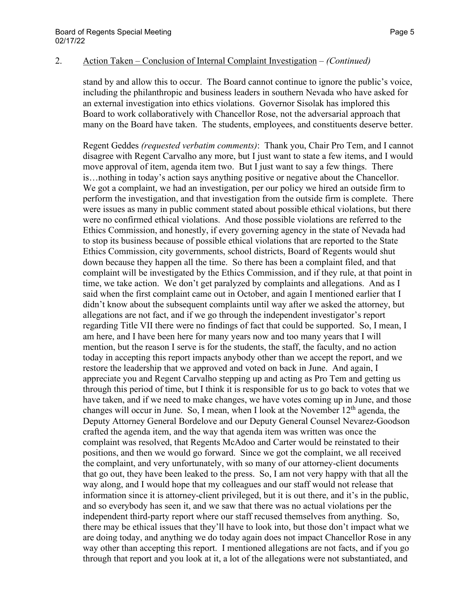stand by and allow this to occur. The Board cannot continue to ignore the public's voice, including the philanthropic and business leaders in southern Nevada who have asked for an external investigation into ethics violations. Governor Sisolak has implored this Board to work collaboratively with Chancellor Rose, not the adversarial approach that many on the Board have taken. The students, employees, and constituents deserve better.

Regent Geddes *(requested verbatim comments)*: Thank you, Chair Pro Tem, and I cannot disagree with Regent Carvalho any more, but I just want to state a few items, and I would move approval of item, agenda item two. But I just want to say a few things. There is…nothing in today's action says anything positive or negative about the Chancellor. We got a complaint, we had an investigation, per our policy we hired an outside firm to perform the investigation, and that investigation from the outside firm is complete. There were issues as many in public comment stated about possible ethical violations, but there were no confirmed ethical violations. And those possible violations are referred to the Ethics Commission, and honestly, if every governing agency in the state of Nevada had to stop its business because of possible ethical violations that are reported to the State Ethics Commission, city governments, school districts, Board of Regents would shut down because they happen all the time. So there has been a complaint filed, and that complaint will be investigated by the Ethics Commission, and if they rule, at that point in time, we take action. We don't get paralyzed by complaints and allegations. And as I said when the first complaint came out in October, and again I mentioned earlier that I didn't know about the subsequent complaints until way after we asked the attorney, but allegations are not fact, and if we go through the independent investigator's report regarding Title VII there were no findings of fact that could be supported. So, I mean, I am here, and I have been here for many years now and too many years that I will mention, but the reason I serve is for the students, the staff, the faculty, and no action today in accepting this report impacts anybody other than we accept the report, and we restore the leadership that we approved and voted on back in June. And again, I appreciate you and Regent Carvalho stepping up and acting as Pro Tem and getting us through this period of time, but I think it is responsible for us to go back to votes that we have taken, and if we need to make changes, we have votes coming up in June, and those changes will occur in June. So, I mean, when I look at the November  $12<sup>th</sup>$  agenda, the Deputy Attorney General Bordelove and our Deputy General Counsel Nevarez-Goodson crafted the agenda item, and the way that agenda item was written was once the complaint was resolved, that Regents McAdoo and Carter would be reinstated to their positions, and then we would go forward. Since we got the complaint, we all received the complaint, and very unfortunately, with so many of our attorney-client documents that go out, they have been leaked to the press. So, I am not very happy with that all the way along, and I would hope that my colleagues and our staff would not release that information since it is attorney-client privileged, but it is out there, and it's in the public, and so everybody has seen it, and we saw that there was no actual violations per the independent third-party report where our staff recused themselves from anything. So, there may be ethical issues that they'll have to look into, but those don't impact what we are doing today, and anything we do today again does not impact Chancellor Rose in any way other than accepting this report. I mentioned allegations are not facts, and if you go through that report and you look at it, a lot of the allegations were not substantiated, and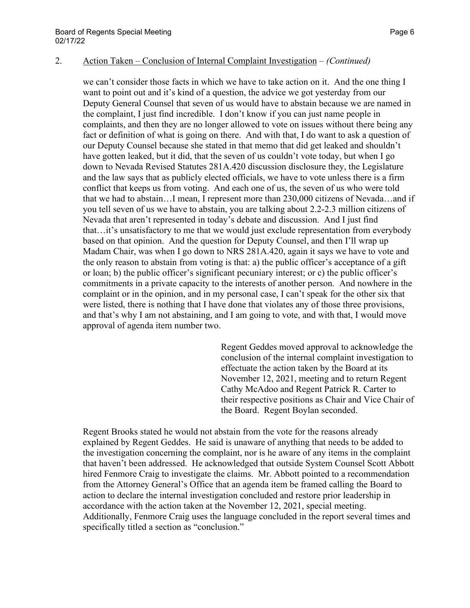we can't consider those facts in which we have to take action on it. And the one thing I want to point out and it's kind of a question, the advice we got yesterday from our Deputy General Counsel that seven of us would have to abstain because we are named in the complaint, I just find incredible. I don't know if you can just name people in complaints, and then they are no longer allowed to vote on issues without there being any fact or definition of what is going on there. And with that, I do want to ask a question of our Deputy Counsel because she stated in that memo that did get leaked and shouldn't have gotten leaked, but it did, that the seven of us couldn't vote today, but when I go down to Nevada Revised Statutes 281A.420 discussion disclosure they, the Legislature and the law says that as publicly elected officials, we have to vote unless there is a firm conflict that keeps us from voting. And each one of us, the seven of us who were told that we had to abstain…I mean, I represent more than 230,000 citizens of Nevada…and if you tell seven of us we have to abstain, you are talking about 2.2-2.3 million citizens of Nevada that aren't represented in today's debate and discussion. And I just find that…it's unsatisfactory to me that we would just exclude representation from everybody based on that opinion. And the question for Deputy Counsel, and then I'll wrap up Madam Chair, was when I go down to NRS 281A.420, again it says we have to vote and the only reason to abstain from voting is that: a) the public officer's acceptance of a gift or loan; b) the public officer's significant pecuniary interest; or c) the public officer's commitments in a private capacity to the interests of another person. And nowhere in the complaint or in the opinion, and in my personal case, I can't speak for the other six that were listed, there is nothing that I have done that violates any of those three provisions, and that's why I am not abstaining, and I am going to vote, and with that, I would move approval of agenda item number two.

> Regent Geddes moved approval to acknowledge the conclusion of the internal complaint investigation to effectuate the action taken by the Board at its November 12, 2021, meeting and to return Regent Cathy McAdoo and Regent Patrick R. Carter to their respective positions as Chair and Vice Chair of the Board. Regent Boylan seconded.

Regent Brooks stated he would not abstain from the vote for the reasons already explained by Regent Geddes. He said is unaware of anything that needs to be added to the investigation concerning the complaint, nor is he aware of any items in the complaint that haven't been addressed. He acknowledged that outside System Counsel Scott Abbott hired Fenmore Craig to investigate the claims. Mr. Abbott pointed to a recommendation from the Attorney General's Office that an agenda item be framed calling the Board to action to declare the internal investigation concluded and restore prior leadership in accordance with the action taken at the November 12, 2021, special meeting. Additionally, Fenmore Craig uses the language concluded in the report several times and specifically titled a section as "conclusion."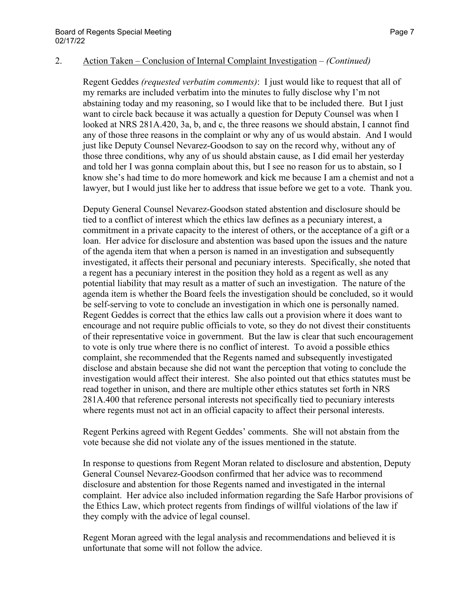Regent Geddes *(requested verbatim comments)*: I just would like to request that all of my remarks are included verbatim into the minutes to fully disclose why I'm not abstaining today and my reasoning, so I would like that to be included there. But I just want to circle back because it was actually a question for Deputy Counsel was when I looked at NRS 281A.420, 3a, b, and c, the three reasons we should abstain, I cannot find any of those three reasons in the complaint or why any of us would abstain. And I would just like Deputy Counsel Nevarez-Goodson to say on the record why, without any of those three conditions, why any of us should abstain cause, as I did email her yesterday and told her I was gonna complain about this, but I see no reason for us to abstain, so I know she's had time to do more homework and kick me because I am a chemist and not a lawyer, but I would just like her to address that issue before we get to a vote. Thank you.

Deputy General Counsel Nevarez-Goodson stated abstention and disclosure should be tied to a conflict of interest which the ethics law defines as a pecuniary interest, a commitment in a private capacity to the interest of others, or the acceptance of a gift or a loan. Her advice for disclosure and abstention was based upon the issues and the nature of the agenda item that when a person is named in an investigation and subsequently investigated, it affects their personal and pecuniary interests. Specifically, she noted that a regent has a pecuniary interest in the position they hold as a regent as well as any potential liability that may result as a matter of such an investigation. The nature of the agenda item is whether the Board feels the investigation should be concluded, so it would be self-serving to vote to conclude an investigation in which one is personally named. Regent Geddes is correct that the ethics law calls out a provision where it does want to encourage and not require public officials to vote, so they do not divest their constituents of their representative voice in government. But the law is clear that such encouragement to vote is only true where there is no conflict of interest. To avoid a possible ethics complaint, she recommended that the Regents named and subsequently investigated disclose and abstain because she did not want the perception that voting to conclude the investigation would affect their interest. She also pointed out that ethics statutes must be read together in unison, and there are multiple other ethics statutes set forth in NRS 281A.400 that reference personal interests not specifically tied to pecuniary interests where regents must not act in an official capacity to affect their personal interests.

Regent Perkins agreed with Regent Geddes' comments. She will not abstain from the vote because she did not violate any of the issues mentioned in the statute.

In response to questions from Regent Moran related to disclosure and abstention, Deputy General Counsel Nevarez-Goodson confirmed that her advice was to recommend disclosure and abstention for those Regents named and investigated in the internal complaint. Her advice also included information regarding the Safe Harbor provisions of the Ethics Law, which protect regents from findings of willful violations of the law if they comply with the advice of legal counsel.

Regent Moran agreed with the legal analysis and recommendations and believed it is unfortunate that some will not follow the advice.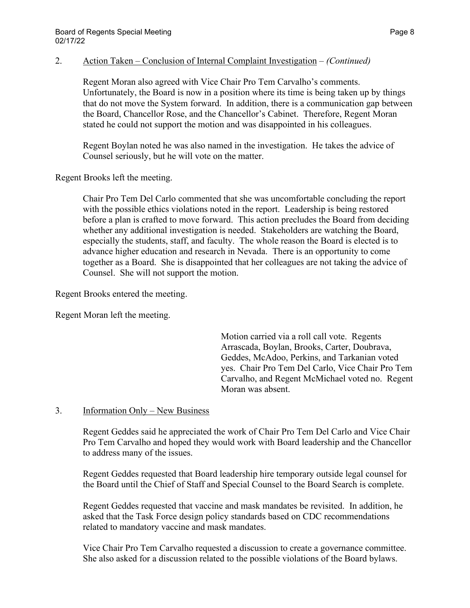Regent Moran also agreed with Vice Chair Pro Tem Carvalho's comments. Unfortunately, the Board is now in a position where its time is being taken up by things that do not move the System forward. In addition, there is a communication gap between the Board, Chancellor Rose, and the Chancellor's Cabinet. Therefore, Regent Moran stated he could not support the motion and was disappointed in his colleagues.

Regent Boylan noted he was also named in the investigation. He takes the advice of Counsel seriously, but he will vote on the matter.

Regent Brooks left the meeting.

Chair Pro Tem Del Carlo commented that she was uncomfortable concluding the report with the possible ethics violations noted in the report. Leadership is being restored before a plan is crafted to move forward. This action precludes the Board from deciding whether any additional investigation is needed. Stakeholders are watching the Board, especially the students, staff, and faculty. The whole reason the Board is elected is to advance higher education and research in Nevada. There is an opportunity to come together as a Board. She is disappointed that her colleagues are not taking the advice of Counsel. She will not support the motion.

Regent Brooks entered the meeting.

Regent Moran left the meeting.

Motion carried via a roll call vote. Regents Arrascada, Boylan, Brooks, Carter, Doubrava, Geddes, McAdoo, Perkins, and Tarkanian voted yes. Chair Pro Tem Del Carlo, Vice Chair Pro Tem Carvalho, and Regent McMichael voted no. Regent Moran was absent.

## 3. Information Only – New Business

Regent Geddes said he appreciated the work of Chair Pro Tem Del Carlo and Vice Chair Pro Tem Carvalho and hoped they would work with Board leadership and the Chancellor to address many of the issues.

Regent Geddes requested that Board leadership hire temporary outside legal counsel for the Board until the Chief of Staff and Special Counsel to the Board Search is complete.

Regent Geddes requested that vaccine and mask mandates be revisited. In addition, he asked that the Task Force design policy standards based on CDC recommendations related to mandatory vaccine and mask mandates.

Vice Chair Pro Tem Carvalho requested a discussion to create a governance committee. She also asked for a discussion related to the possible violations of the Board bylaws.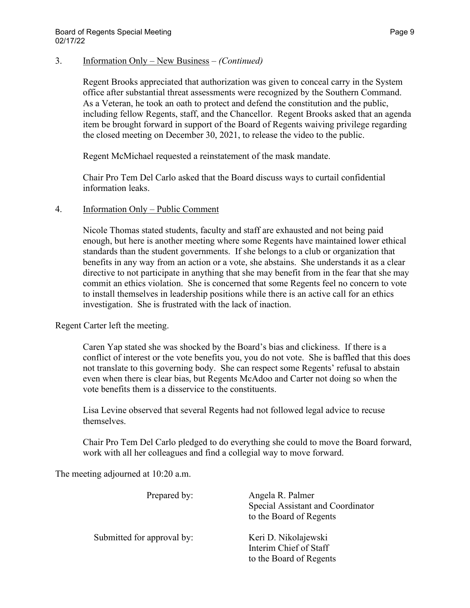## 3. Information Only – New Business – *(Continued)*

Regent Brooks appreciated that authorization was given to conceal carry in the System office after substantial threat assessments were recognized by the Southern Command. As a Veteran, he took an oath to protect and defend the constitution and the public, including fellow Regents, staff, and the Chancellor. Regent Brooks asked that an agenda item be brought forward in support of the Board of Regents waiving privilege regarding the closed meeting on December 30, 2021, to release the video to the public.

Regent McMichael requested a reinstatement of the mask mandate.

Chair Pro Tem Del Carlo asked that the Board discuss ways to curtail confidential information leaks.

## 4. Information Only – Public Comment

Nicole Thomas stated students, faculty and staff are exhausted and not being paid enough, but here is another meeting where some Regents have maintained lower ethical standards than the student governments. If she belongs to a club or organization that benefits in any way from an action or a vote, she abstains. She understands it as a clear directive to not participate in anything that she may benefit from in the fear that she may commit an ethics violation. She is concerned that some Regents feel no concern to vote to install themselves in leadership positions while there is an active call for an ethics investigation. She is frustrated with the lack of inaction.

Regent Carter left the meeting.

Caren Yap stated she was shocked by the Board's bias and clickiness. If there is a conflict of interest or the vote benefits you, you do not vote. She is baffled that this does not translate to this governing body. She can respect some Regents' refusal to abstain even when there is clear bias, but Regents McAdoo and Carter not doing so when the vote benefits them is a disservice to the constituents.

Lisa Levine observed that several Regents had not followed legal advice to recuse themselves.

Chair Pro Tem Del Carlo pledged to do everything she could to move the Board forward, work with all her colleagues and find a collegial way to move forward.

The meeting adjourned at 10:20 a.m.

| Prepared by:               | Angela R. Palmer<br>Special Assistant and Coordinator<br>to the Board of Regents |
|----------------------------|----------------------------------------------------------------------------------|
| Submitted for approval by: | Keri D. Nikolajewski<br>Interim Chief of Staff<br>to the Board of Regents        |